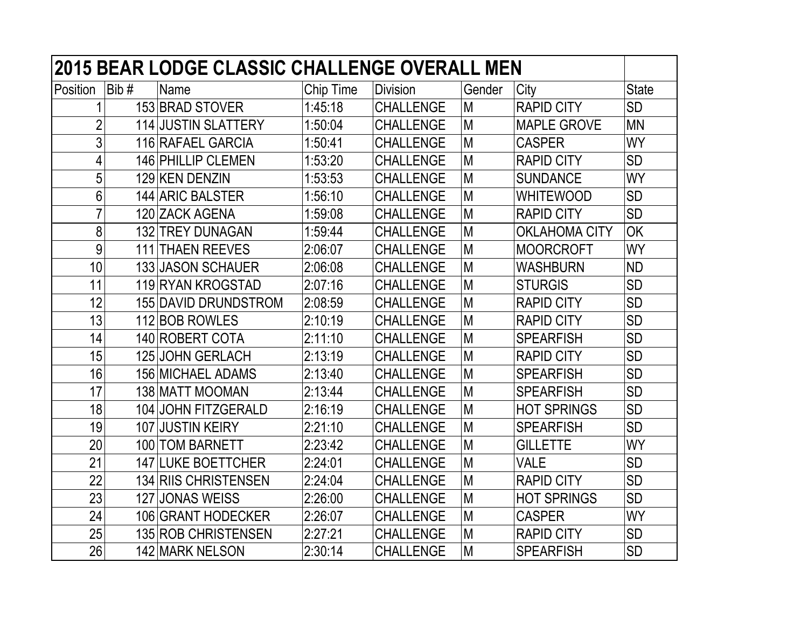|                 |      | <b>2015 BEAR LODGE CLASSIC CHALLENGE OVERALL MEN</b> |           |                  |        |                      |              |
|-----------------|------|------------------------------------------------------|-----------|------------------|--------|----------------------|--------------|
| Position        | Bib# | <b>Name</b>                                          | Chip Time | <b>Division</b>  | Gender | City                 | <b>State</b> |
|                 |      | 153 BRAD STOVER                                      | 1:45:18   | <b>CHALLENGE</b> | M      | <b>RAPID CITY</b>    | <b>SD</b>    |
| $\overline{2}$  |      | <b>114 JUSTIN SLATTERY</b>                           | 1:50:04   | <b>CHALLENGE</b> | M      | <b>MAPLE GROVE</b>   | <b>MN</b>    |
| 3               |      | 116 RAFAEL GARCIA                                    | 1:50:41   | <b>CHALLENGE</b> | M      | <b>CASPER</b>        | <b>WY</b>    |
| 4               |      | 146 PHILLIP CLEMEN                                   | 1:53:20   | <b>CHALLENGE</b> | M      | <b>RAPID CITY</b>    | <b>SD</b>    |
| 5               |      | 129 KEN DENZIN                                       | 1:53:53   | <b>CHALLENGE</b> | M      | <b>SUNDANCE</b>      | <b>WY</b>    |
| 6               |      | 144 ARIC BALSTER                                     | 1:56:10   | <b>CHALLENGE</b> | M      | <b>WHITEWOOD</b>     | <b>SD</b>    |
| 7               |      | 120 ZACK AGENA                                       | 1:59:08   | <b>CHALLENGE</b> | M      | <b>RAPID CITY</b>    | <b>SD</b>    |
| 8               |      | 132 TREY DUNAGAN                                     | 1:59:44   | <b>CHALLENGE</b> | M      | <b>OKLAHOMA CITY</b> | OK           |
| 9               |      | <b>111 THAEN REEVES</b>                              | 2:06:07   | <b>CHALLENGE</b> | M      | <b>MOORCROFT</b>     | WY           |
| 10              |      | 133 JASON SCHAUER                                    | 2:06:08   | <b>CHALLENGE</b> | M      | <b>WASHBURN</b>      | <b>ND</b>    |
| 11              |      | 119 RYAN KROGSTAD                                    | 2:07:16   | <b>CHALLENGE</b> | M      | <b>STURGIS</b>       | <b>SD</b>    |
| 12              |      | 155 DAVID DRUNDSTROM                                 | 2:08:59   | <b>CHALLENGE</b> | M      | <b>RAPID CITY</b>    | <b>SD</b>    |
| 13              |      | 112 BOB ROWLES                                       | 2:10:19   | <b>CHALLENGE</b> | M      | <b>RAPID CITY</b>    | <b>SD</b>    |
| 14              |      | 140 ROBERT COTA                                      | 2:11:10   | <b>CHALLENGE</b> | M      | <b>SPEARFISH</b>     | <b>SD</b>    |
| 15              |      | 125 JOHN GERLACH                                     | 2:13:19   | <b>CHALLENGE</b> | M      | <b>RAPID CITY</b>    | <b>SD</b>    |
| 16              |      | <b>156 MICHAEL ADAMS</b>                             | 2:13:40   | <b>CHALLENGE</b> | M      | <b>SPEARFISH</b>     | <b>SD</b>    |
| 17              |      | 138 MATT MOOMAN                                      | 2:13:44   | <b>CHALLENGE</b> | M      | <b>SPEARFISH</b>     | <b>SD</b>    |
| 18              |      | 104 JOHN FITZGERALD                                  | 2:16:19   | <b>CHALLENGE</b> | M      | <b>HOT SPRINGS</b>   | SD           |
| 19              |      | 107 JUSTIN KEIRY                                     | 2:21:10   | <b>CHALLENGE</b> | M      | <b>SPEARFISH</b>     | <b>SD</b>    |
| 20              |      | 100 TOM BARNETT                                      | 2:23:42   | <b>CHALLENGE</b> | M      | <b>GILLETTE</b>      | WY           |
| $\overline{21}$ |      | <b>147 LUKE BOETTCHER</b>                            | 2:24:01   | <b>CHALLENGE</b> | M      | <b>VALE</b>          | <b>SD</b>    |
| 22              |      | 134 RIIS CHRISTENSEN                                 | 2:24:04   | <b>CHALLENGE</b> | M      | <b>RAPID CITY</b>    | <b>SD</b>    |
| 23              |      | 127 JONAS WEISS                                      | 2:26:00   | <b>CHALLENGE</b> | M      | <b>HOT SPRINGS</b>   | <b>SD</b>    |
| 24              |      | 106 GRANT HODECKER                                   | 2:26:07   | <b>CHALLENGE</b> | M      | <b>CASPER</b>        | <b>WY</b>    |
| 25              |      | <b>135 ROB CHRISTENSEN</b>                           | 2:27:21   | <b>CHALLENGE</b> | M      | <b>RAPID CITY</b>    | <b>SD</b>    |
| 26              |      | 142 MARK NELSON                                      | 2:30:14   | <b>CHALLENGE</b> | M      | <b>SPEARFISH</b>     | <b>SD</b>    |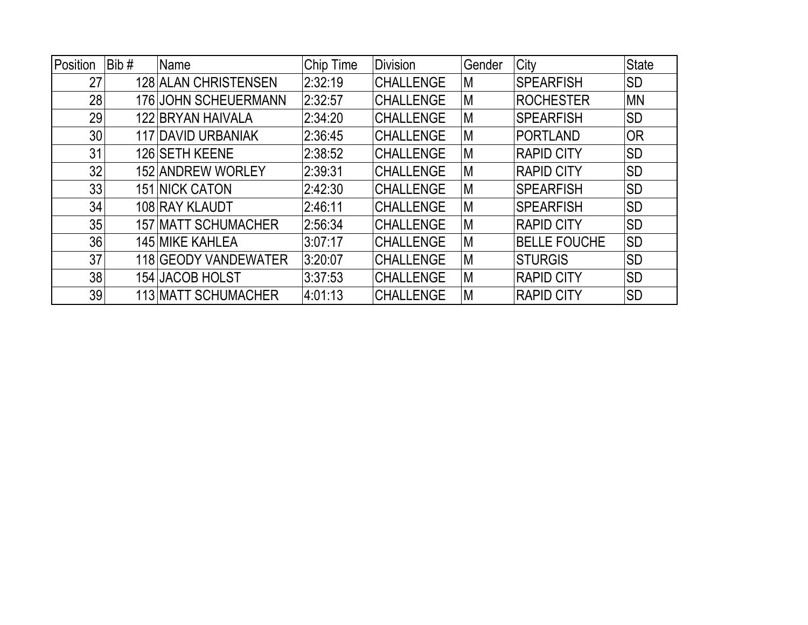| Position | Bib# | Name                      | Chip Time | <b>Division</b>  | Gender | City                | <b>State</b> |
|----------|------|---------------------------|-----------|------------------|--------|---------------------|--------------|
| 27       |      | 128 ALAN CHRISTENSEN      | 2:32:19   | <b>CHALLENGE</b> | ΙM     | <b>SPEARFISH</b>    | <b>SD</b>    |
| 28       |      | 176 JOHN SCHEUERMANN      | 2:32:57   | <b>CHALLENGE</b> | M      | <b>ROCHESTER</b>    | <b>MN</b>    |
| 29       |      | 122 BRYAN HAIVALA         | 2:34:20   | <b>CHALLENGE</b> | M      | <b>SPEARFISH</b>    | <b>SD</b>    |
| 30       |      | <b>117 DAVID URBANIAK</b> | 2:36:45   | <b>CHALLENGE</b> | M      | <b>PORTLAND</b>     | <b>OR</b>    |
| 31       |      | 126 SETH KEENE            | 2:38:52   | <b>CHALLENGE</b> | M      | <b>RAPID CITY</b>   | <b>SD</b>    |
| 32       |      | 152 ANDREW WORLEY         | 2:39:31   | <b>CHALLENGE</b> | M      | <b>RAPID CITY</b>   | <b>SD</b>    |
| 33       |      | <b>151 NICK CATON</b>     | 2:42:30   | <b>CHALLENGE</b> | M      | <b>SPEARFISH</b>    | <b>SD</b>    |
| 34       |      | 108 RAY KLAUDT            | 2:46:11   | <b>CHALLENGE</b> | M      | <b>SPEARFISH</b>    | <b>SD</b>    |
| 35       |      | 157 MATT SCHUMACHER       | 2:56:34   | <b>CHALLENGE</b> | M      | <b>RAPID CITY</b>   | <b>SD</b>    |
| 36       |      | 145 MIKE KAHLEA           | 3:07:17   | <b>CHALLENGE</b> | M      | <b>BELLE FOUCHE</b> | <b>SD</b>    |
| 37       |      | 118 GEODY VANDEWATER      | 3:20:07   | <b>CHALLENGE</b> | M      | <b>STURGIS</b>      | <b>SD</b>    |
| 38       |      | 154 JACOB HOLST           | 3:37:53   | <b>CHALLENGE</b> | M      | <b>RAPID CITY</b>   | <b>SD</b>    |
| 39       |      | 113 MATT SCHUMACHER       | 4:01:13   | <b>CHALLENGE</b> | ΙM     | <b>RAPID CITY</b>   | <b>SD</b>    |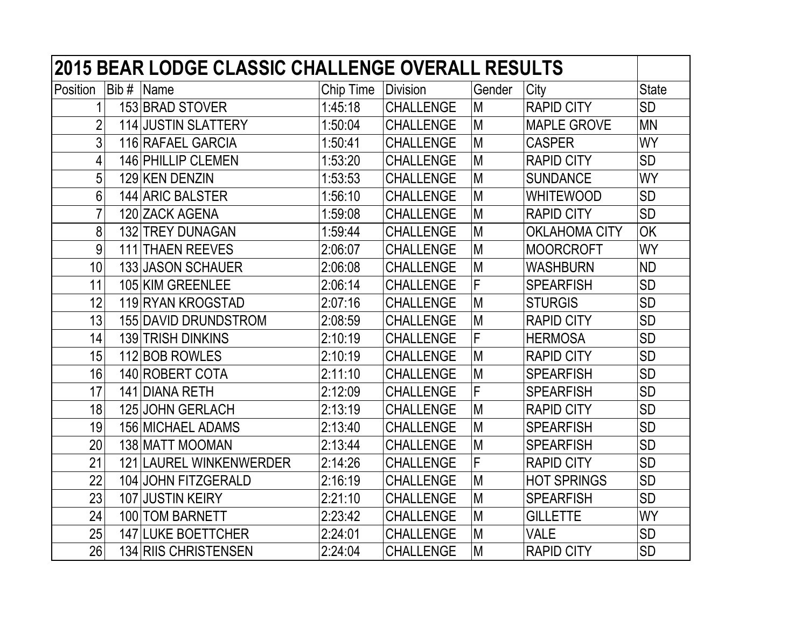| <b>2015 BEAR LODGE CLASSIC CHALLENGE OVERALL RESULTS</b> |      |                            |           |                  |        |                      |              |  |  |
|----------------------------------------------------------|------|----------------------------|-----------|------------------|--------|----------------------|--------------|--|--|
| Position                                                 | Bib# | Name                       | Chip Time | <b>Division</b>  | Gender | City                 | <b>State</b> |  |  |
|                                                          |      | 153 BRAD STOVER            | 1:45:18   | <b>CHALLENGE</b> | M      | <b>RAPID CITY</b>    | <b>SD</b>    |  |  |
| $\overline{2}$                                           |      | <b>114 JUSTIN SLATTERY</b> | 1:50:04   | <b>CHALLENGE</b> | M      | <b>MAPLE GROVE</b>   | <b>MN</b>    |  |  |
| 3                                                        |      | 116 RAFAEL GARCIA          | 1:50:41   | <b>CHALLENGE</b> | M      | <b>CASPER</b>        | WY           |  |  |
| 4                                                        |      | 146 PHILLIP CLEMEN         | 1:53:20   | <b>CHALLENGE</b> | M      | <b>RAPID CITY</b>    | <b>SD</b>    |  |  |
| 5                                                        |      | 129 KEN DENZIN             | 1:53:53   | <b>CHALLENGE</b> | M      | <b>SUNDANCE</b>      | <b>WY</b>    |  |  |
| 6                                                        |      | 144 ARIC BALSTER           | 1:56:10   | <b>CHALLENGE</b> | M      | <b>WHITEWOOD</b>     | <b>SD</b>    |  |  |
| $\overline{7}$                                           |      | 120 ZACK AGENA             | 1:59:08   | <b>CHALLENGE</b> | M      | <b>RAPID CITY</b>    | <b>SD</b>    |  |  |
| 8                                                        |      | 132 TREY DUNAGAN           | 1:59:44   | <b>CHALLENGE</b> | M      | <b>OKLAHOMA CITY</b> | OK           |  |  |
| 9                                                        | 111  | <b>THAEN REEVES</b>        | 2:06:07   | <b>CHALLENGE</b> | M      | <b>MOORCROFT</b>     | WY           |  |  |
| 10                                                       |      | <b>133 JASON SCHAUER</b>   | 2:06:08   | <b>CHALLENGE</b> | M      | <b>WASHBURN</b>      | <b>ND</b>    |  |  |
| 11                                                       |      | 105 KIM GREENLEE           | 2:06:14   | <b>CHALLENGE</b> | F      | <b>SPEARFISH</b>     | <b>SD</b>    |  |  |
| 12                                                       |      | 119 RYAN KROGSTAD          | 2:07:16   | <b>CHALLENGE</b> | M      | <b>STURGIS</b>       | <b>SD</b>    |  |  |
| 13                                                       |      | 155 DAVID DRUNDSTROM       | 2:08:59   | <b>CHALLENGE</b> | M      | <b>RAPID CITY</b>    | <b>SD</b>    |  |  |
| 14                                                       |      | 139 TRISH DINKINS          | 2:10:19   | <b>CHALLENGE</b> | F      | <b>HERMOSA</b>       | <b>SD</b>    |  |  |
| 15                                                       |      | 112 BOB ROWLES             | 2:10:19   | <b>CHALLENGE</b> | M      | <b>RAPID CITY</b>    | <b>SD</b>    |  |  |
| 16                                                       |      | 140 ROBERT COTA            | 2:11:10   | <b>CHALLENGE</b> | M      | <b>SPEARFISH</b>     | <b>SD</b>    |  |  |
| 17                                                       |      | 141 DIANA RETH             | 2:12:09   | <b>CHALLENGE</b> | F      | <b>SPEARFISH</b>     | <b>SD</b>    |  |  |
| 18                                                       |      | <b>125 JOHN GERLACH</b>    | 2:13:19   | <b>CHALLENGE</b> | M      | <b>RAPID CITY</b>    | <b>SD</b>    |  |  |
| 19                                                       |      | <b>156 MICHAEL ADAMS</b>   | 2:13:40   | <b>CHALLENGE</b> | M      | <b>SPEARFISH</b>     | <b>SD</b>    |  |  |
| 20                                                       |      | 138 MATT MOOMAN            | 2:13:44   | <b>CHALLENGE</b> | M      | <b>SPEARFISH</b>     | <b>SD</b>    |  |  |
| 21                                                       |      | 121 LAUREL WINKENWERDER    | 2:14:26   | <b>CHALLENGE</b> | F      | <b>RAPID CITY</b>    | <b>SD</b>    |  |  |
| 22                                                       |      | 104 JOHN FITZGERALD        | 2:16:19   | <b>CHALLENGE</b> | M      | <b>HOT SPRINGS</b>   | <b>SD</b>    |  |  |
| 23                                                       |      | 107 JUSTIN KEIRY           | 2:21:10   | <b>CHALLENGE</b> | M      | <b>SPEARFISH</b>     | <b>SD</b>    |  |  |
| 24                                                       |      | 100 TOM BARNETT            | 2:23:42   | <b>CHALLENGE</b> | M      | <b>GILLETTE</b>      | WY           |  |  |
| 25                                                       |      | <b>147 LUKE BOETTCHER</b>  | 2:24:01   | <b>CHALLENGE</b> | M      | <b>VALE</b>          | <b>SD</b>    |  |  |
| 26                                                       |      | 134 RIIS CHRISTENSEN       | 2:24:04   | <b>CHALLENGE</b> | M      | <b>RAPID CITY</b>    | <b>SD</b>    |  |  |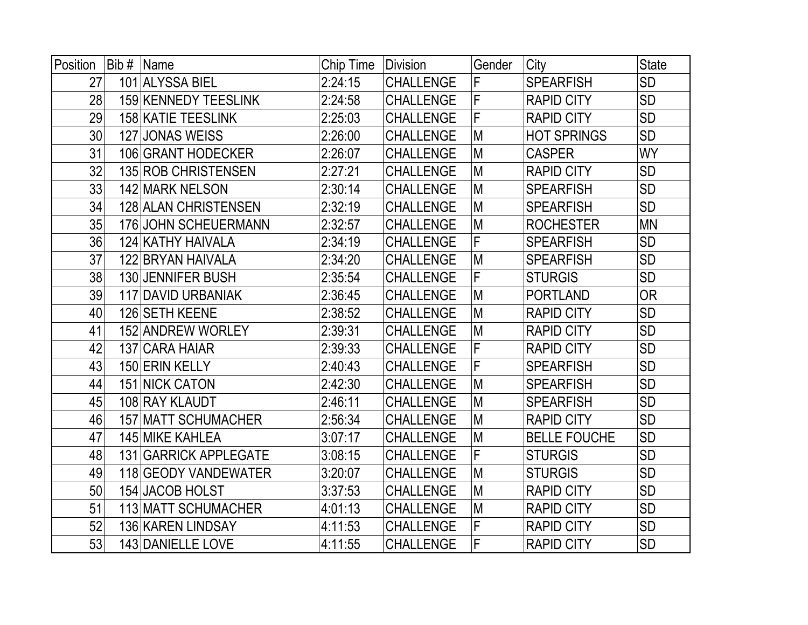| Position | Bib $#$ | Name                        | Chip Time | Division         | Gender | City                | <b>State</b> |
|----------|---------|-----------------------------|-----------|------------------|--------|---------------------|--------------|
| 27       |         | 101 ALYSSA BIEL             | 2:24:15   | <b>CHALLENGE</b> | F      | <b>SPEARFISH</b>    | <b>SD</b>    |
| 28       |         | 159 KENNEDY TEESLINK        | 2:24:58   | <b>CHALLENGE</b> | F      | <b>RAPID CITY</b>   | <b>SD</b>    |
| 29       |         | <b>158 KATIE TEESLINK</b>   | 2:25:03   | <b>CHALLENGE</b> | F      | <b>RAPID CITY</b>   | <b>SD</b>    |
| 30       | 127     | <b>JONAS WEISS</b>          | 2:26:00   | <b>CHALLENGE</b> | M      | <b>HOT SPRINGS</b>  | <b>SD</b>    |
| 31       |         | 106 GRANT HODECKER          | 2:26:07   | <b>CHALLENGE</b> | M      | <b>CASPER</b>       | <b>WY</b>    |
| 32       |         | <b>135 ROB CHRISTENSEN</b>  | 2:27:21   | <b>CHALLENGE</b> | M      | <b>RAPID CITY</b>   | <b>SD</b>    |
| 33       |         | 142 MARK NELSON             | 2:30:14   | <b>CHALLENGE</b> | M      | <b>SPEARFISH</b>    | <b>SD</b>    |
| 34       |         | <b>128 ALAN CHRISTENSEN</b> | 2:32:19   | <b>CHALLENGE</b> | M      | <b>SPEARFISH</b>    | <b>SD</b>    |
| 35       |         | 176 JOHN SCHEUERMANN        | 2:32:57   | <b>CHALLENGE</b> | M      | <b>ROCHESTER</b>    | <b>MN</b>    |
| 36       |         | 124 KATHY HAIVALA           | 2:34:19   | <b>CHALLENGE</b> | F      | <b>SPEARFISH</b>    | <b>SD</b>    |
| 37       |         | 122 BRYAN HAIVALA           | 2:34:20   | <b>CHALLENGE</b> | M      | <b>SPEARFISH</b>    | <b>SD</b>    |
| 38       |         | 130 JENNIFER BUSH           | 2:35:54   | <b>CHALLENGE</b> | F      | <b>STURGIS</b>      | <b>SD</b>    |
| 39       |         | <b>117 DAVID URBANIAK</b>   | 2:36:45   | <b>CHALLENGE</b> | M      | <b>PORTLAND</b>     | <b>OR</b>    |
| 40       |         | 126 SETH KEENE              | 2:38:52   | <b>CHALLENGE</b> | M      | <b>RAPID CITY</b>   | <b>SD</b>    |
| 41       |         | 152 ANDREW WORLEY           | 2:39:31   | <b>CHALLENGE</b> | M      | <b>RAPID CITY</b>   | <b>SD</b>    |
| 42       |         | 137 CARA HAIAR              | 2:39:33   | <b>CHALLENGE</b> | F      | <b>RAPID CITY</b>   | <b>SD</b>    |
| 43       |         | 150 ERIN KELLY              | 2:40:43   | <b>CHALLENGE</b> | F      | <b>SPEARFISH</b>    | <b>SD</b>    |
| 44       |         | <b>151 NICK CATON</b>       | 2:42:30   | <b>CHALLENGE</b> | M      | <b>SPEARFISH</b>    | <b>SD</b>    |
| 45       |         | 108 RAY KLAUDT              | 2:46:11   | <b>CHALLENGE</b> | M      | <b>SPEARFISH</b>    | <b>SD</b>    |
| 46       |         | <b>157 MATT SCHUMACHER</b>  | 2:56:34   | <b>CHALLENGE</b> | M      | <b>RAPID CITY</b>   | <b>SD</b>    |
| 47       |         | <b>145 MIKE KAHLEA</b>      | 3:07:17   | <b>CHALLENGE</b> | M      | <b>BELLE FOUCHE</b> | <b>SD</b>    |
| 48       |         | 131 GARRICK APPLEGATE       | 3:08:15   | <b>CHALLENGE</b> | F      | <b>STURGIS</b>      | <b>SD</b>    |
| 49       |         | 118 GEODY VANDEWATER        | 3:20:07   | <b>CHALLENGE</b> | M      | <b>STURGIS</b>      | <b>SD</b>    |
| 50       |         | 154 JACOB HOLST             | 3:37:53   | <b>CHALLENGE</b> | M      | <b>RAPID CITY</b>   | <b>SD</b>    |
| 51       |         | 113 MATT SCHUMACHER         | 4:01:13   | <b>CHALLENGE</b> | M      | <b>RAPID CITY</b>   | <b>SD</b>    |
| 52       |         | 136 KAREN LINDSAY           | 4:11:53   | <b>CHALLENGE</b> | F      | <b>RAPID CITY</b>   | <b>SD</b>    |
| 53       |         | 143 DANIELLE LOVE           | 4:11:55   | <b>CHALLENGE</b> | F      | <b>RAPID CITY</b>   | <b>SD</b>    |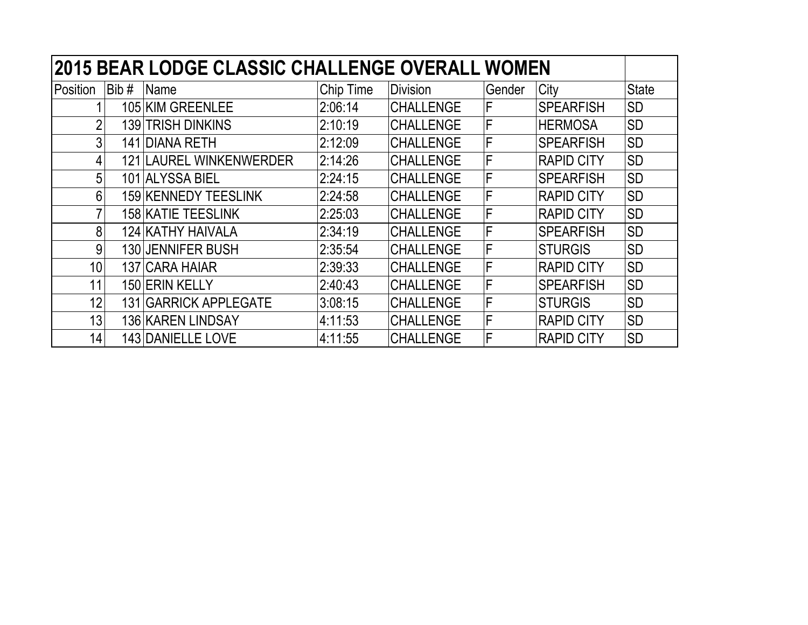|                |      | 2015 BEAR LODGE CLASSIC CHALLENGE OVERALL WOMEN |           |                  |        |                   |              |
|----------------|------|-------------------------------------------------|-----------|------------------|--------|-------------------|--------------|
| Position       | Bib# | Name                                            | Chip Time | <b>Division</b>  | Gender | City              | <b>State</b> |
|                |      | 105 KIM GREENLEE                                | 2:06:14   | <b>CHALLENGE</b> | F      | <b>SPEARFISH</b>  | <b>SD</b>    |
| $\overline{2}$ |      | <b>139 TRISH DINKINS</b>                        | 2:10:19   | <b>CHALLENGE</b> | F      | <b>HERMOSA</b>    | <b>SD</b>    |
| 3              |      | 141 DIANA RETH                                  | 2:12:09   | <b>CHALLENGE</b> | F      | <b>SPEARFISH</b>  | <b>SD</b>    |
| 4              |      | 121 LAUREL WINKENWERDER                         | 2:14:26   | <b>CHALLENGE</b> | F      | <b>RAPID CITY</b> | <b>SD</b>    |
| 5              |      | 101 ALYSSA BIEL                                 | 2:24:15   | <b>CHALLENGE</b> | F      | <b>SPEARFISH</b>  | <b>SD</b>    |
| 6              |      | 159 KENNEDY TEESLINK                            | 2:24:58   | <b>CHALLENGE</b> | F      | <b>RAPID CITY</b> | <b>SD</b>    |
|                |      | <b>158 KATIE TEESLINK</b>                       | 2:25:03   | <b>CHALLENGE</b> | F      | <b>RAPID CITY</b> | <b>SD</b>    |
| 8              |      | 124 KATHY HAIVALA                               | 2:34:19   | <b>CHALLENGE</b> | F      | <b>SPEARFISH</b>  | <b>SD</b>    |
| 9              |      | 130 JENNIFER BUSH                               | 2:35:54   | <b>CHALLENGE</b> | F      | <b>STURGIS</b>    | <b>SD</b>    |
| 10             |      | 137 CARA HAIAR                                  | 2:39:33   | <b>CHALLENGE</b> | F      | <b>RAPID CITY</b> | <b>SD</b>    |
| 11             |      | 150 ERIN KELLY                                  | 2:40:43   | <b>CHALLENGE</b> | F      | <b>SPEARFISH</b>  | <b>SD</b>    |
| 12             |      | 131 GARRICK APPLEGATE                           | 3:08:15   | <b>CHALLENGE</b> | F      | <b>STURGIS</b>    | <b>SD</b>    |
| 13             |      | 136 KAREN LINDSAY                               | 4:11:53   | <b>CHALLENGE</b> | F      | <b>RAPID CITY</b> | <b>SD</b>    |
| 14             |      | 143 DANIELLE LOVE                               | 4:11:55   | <b>CHALLENGE</b> | F      | <b>RAPID CITY</b> | <b>SD</b>    |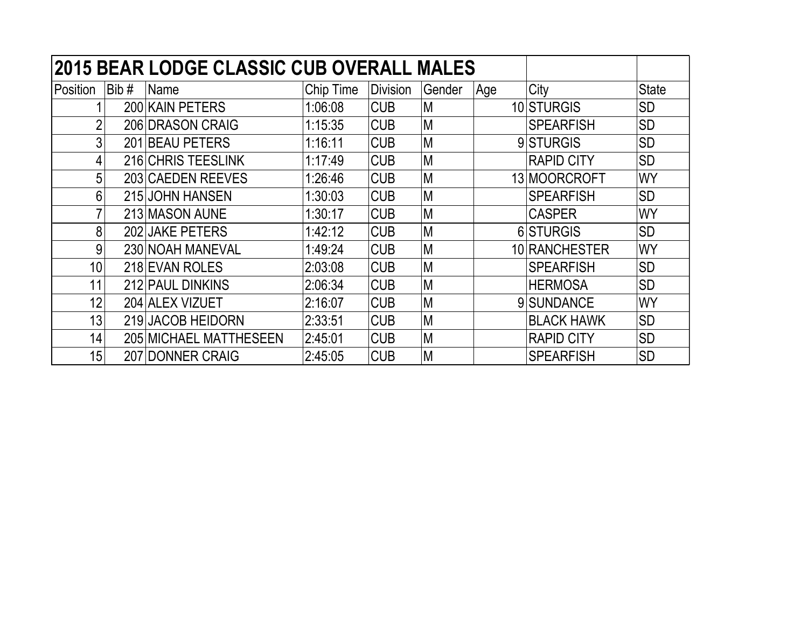|                 |      | <b>2015 BEAR LODGE CLASSIC CUB OVERALL MALES</b> |           |                 |        |      |                   |              |
|-----------------|------|--------------------------------------------------|-----------|-----------------|--------|------|-------------------|--------------|
| Position        | Bib# | Name                                             | Chip Time | <b>Division</b> | Gender | ∣Age | City              | <b>State</b> |
|                 |      | 200 KAIN PETERS                                  | 1:06:08   | <b>CUB</b>      | M      |      | 10 STURGIS        | <b>SD</b>    |
| $\overline{2}$  |      | 206 DRASON CRAIG                                 | 1:15:35   | <b>CUB</b>      | M      |      | <b>SPEARFISH</b>  | <b>SD</b>    |
| 3               |      | 201 BEAU PETERS                                  | 1:16:11   | <b>CUB</b>      | M      |      | 9 STURGIS         | <b>SD</b>    |
| 4               |      | 216 CHRIS TEESLINK                               | 1:17:49   | <b>CUB</b>      | M      |      | <b>RAPID CITY</b> | <b>SD</b>    |
| 5               |      | 203 CAEDEN REEVES                                | 1:26:46   | <b>CUB</b>      | M      |      | 13 MOORCROFT      | <b>WY</b>    |
| 6               |      | 215 JOHN HANSEN                                  | 1:30:03   | <b>CUB</b>      | M      |      | <b>SPEARFISH</b>  | <b>SD</b>    |
|                 |      | 213 MASON AUNE                                   | 1:30:17   | <b>CUB</b>      | M      |      | <b>CASPER</b>     | <b>WY</b>    |
| 8               |      | 202 JAKE PETERS                                  | 1:42:12   | <b>CUB</b>      | M      |      | 6 STURGIS         | <b>SD</b>    |
| 9               |      | 230 NOAH MANEVAL                                 | 1:49:24   | <b>CUB</b>      | M      |      | 10 RANCHESTER     | WY           |
| 10 <sup>1</sup> |      | 218 EVAN ROLES                                   | 2:03:08   | <b>CUB</b>      | M      |      | <b>SPEARFISH</b>  | <b>SD</b>    |
| 11              |      | 212 PAUL DINKINS                                 | 2:06:34   | <b>CUB</b>      | M      |      | <b>HERMOSA</b>    | <b>SD</b>    |
| 12              |      | 204 ALEX VIZUET                                  | 2:16:07   | <b>CUB</b>      | M      |      | 9 SUNDANCE        | <b>WY</b>    |
| 13              |      | 219 JACOB HEIDORN                                | 2:33:51   | <b>CUB</b>      | M      |      | <b>BLACK HAWK</b> | <b>SD</b>    |
| 14              |      | 205 MICHAEL MATTHESEEN                           | 2:45:01   | <b>CUB</b>      | M      |      | <b>RAPID CITY</b> | <b>SD</b>    |
| 15              |      | 207 DONNER CRAIG                                 | 2:45:05   | <b>CUB</b>      | M      |      | <b>SPEARFISH</b>  | <b>SD</b>    |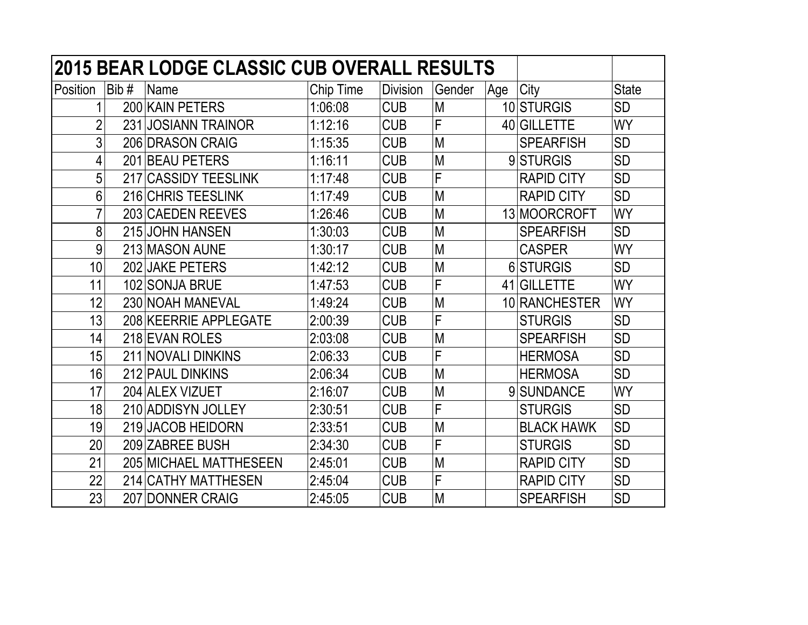| <b>2015 BEAR LODGE CLASSIC CUB OVERALL RESULTS</b> |      |                         |           |                 |        |     |                   |              |  |  |
|----------------------------------------------------|------|-------------------------|-----------|-----------------|--------|-----|-------------------|--------------|--|--|
| Position                                           | Bib# | Name                    | Chip Time | <b>Division</b> | Gender | Age | City              | <b>State</b> |  |  |
|                                                    |      | 200 KAIN PETERS         | 1:06:08   | <b>CUB</b>      | M      |     | 10 STURGIS        | <b>SD</b>    |  |  |
| $\overline{2}$                                     |      | 231 JOSIANN TRAINOR     | 1:12:16   | <b>CUB</b>      | F      |     | 40 GILLETTE       | <b>WY</b>    |  |  |
| 3                                                  |      | 206 DRASON CRAIG        | 1:15:35   | <b>CUB</b>      | M      |     | <b>SPEARFISH</b>  | <b>SD</b>    |  |  |
| 4                                                  |      | 201 BEAU PETERS         | 1:16:11   | <b>CUB</b>      | M      |     | 9STURGIS          | <b>SD</b>    |  |  |
| 5                                                  | 217  | <b>CASSIDY TEESLINK</b> | 1:17:48   | <b>CUB</b>      | F      |     | <b>RAPID CITY</b> | <b>SD</b>    |  |  |
| 6                                                  |      | 216 CHRIS TEESLINK      | 1:17:49   | <b>CUB</b>      | M      |     | <b>RAPID CITY</b> | <b>SD</b>    |  |  |
| 7                                                  |      | 203 CAEDEN REEVES       | 1:26:46   | <b>CUB</b>      | M      |     | 13 MOORCROFT      | <b>WY</b>    |  |  |
| 8                                                  |      | 215 JOHN HANSEN         | 1:30:03   | <b>CUB</b>      | M      |     | <b>SPEARFISH</b>  | <b>SD</b>    |  |  |
| 9                                                  |      | 213 MASON AUNE          | 1:30:17   | <b>CUB</b>      | M      |     | <b>CASPER</b>     | <b>WY</b>    |  |  |
| 10                                                 |      | 202 JAKE PETERS         | 1:42:12   | <b>CUB</b>      | M      |     | 6 STURGIS         | <b>SD</b>    |  |  |
| 11                                                 |      | 102 SONJA BRUE          | 1:47:53   | <b>CUB</b>      | F      |     | 41 GILLETTE       | <b>WY</b>    |  |  |
| 12                                                 |      | 230 NOAH MANEVAL        | 1:49:24   | <b>CUB</b>      | M      |     | 10 RANCHESTER     | WY           |  |  |
| 13                                                 |      | 208 KEERRIE APPLEGATE   | 2:00:39   | <b>CUB</b>      | F      |     | <b>STURGIS</b>    | <b>SD</b>    |  |  |
| 14                                                 |      | 218 EVAN ROLES          | 2:03:08   | <b>CUB</b>      | M      |     | <b>SPEARFISH</b>  | <b>SD</b>    |  |  |
| 15                                                 |      | 211 NOVALI DINKINS      | 2:06:33   | <b>CUB</b>      | F      |     | <b>HERMOSA</b>    | <b>SD</b>    |  |  |
| 16                                                 |      | 212 PAUL DINKINS        | 2:06:34   | <b>CUB</b>      | M      |     | <b>HERMOSA</b>    | <b>SD</b>    |  |  |
| 17                                                 |      | 204 ALEX VIZUET         | 2:16:07   | <b>CUB</b>      | M      |     | 9 SUNDANCE        | <b>WY</b>    |  |  |
| 18                                                 |      | 210 ADDISYN JOLLEY      | 2:30:51   | <b>CUB</b>      | F      |     | <b>STURGIS</b>    | <b>SD</b>    |  |  |
| 19                                                 |      | 219 JACOB HEIDORN       | 2:33:51   | <b>CUB</b>      | M      |     | <b>BLACK HAWK</b> | <b>SD</b>    |  |  |
| 20                                                 |      | 209 ZABREE BUSH         | 2:34:30   | <b>CUB</b>      | F      |     | <b>STURGIS</b>    | <b>SD</b>    |  |  |
| 21                                                 |      | 205 MICHAEL MATTHESEEN  | 2:45:01   | <b>CUB</b>      | M      |     | <b>RAPID CITY</b> | <b>SD</b>    |  |  |
| 22                                                 |      | 214 CATHY MATTHESEN     | 2:45:04   | <b>CUB</b>      | F      |     | <b>RAPID CITY</b> | <b>SD</b>    |  |  |
| 23                                                 |      | 207 DONNER CRAIG        | 2:45:05   | <b>CUB</b>      | M      |     | <b>SPEARFISH</b>  | <b>SD</b>    |  |  |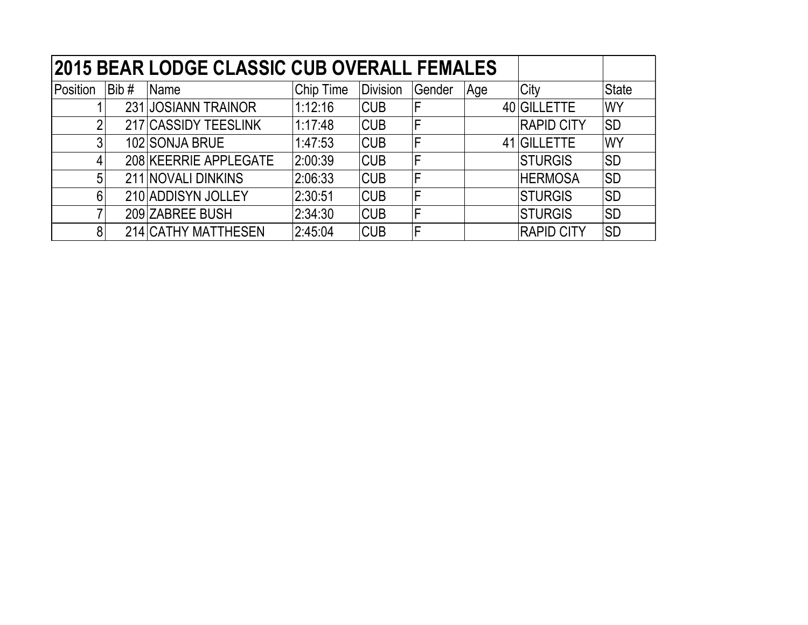|                |         | 2015 BEAR LODGE CLASSIC CUB OVERALL FEMALES |           |            |        |     |                   |              |
|----------------|---------|---------------------------------------------|-----------|------------|--------|-----|-------------------|--------------|
| Position       | Bib $#$ | Name                                        | Chip Time | Division   | Gender | Age | City              | <b>State</b> |
|                |         | 231 JOSIANN TRAINOR                         | 1:12:16   | <b>CUB</b> |        |     | 40 GILLETTE       | <b>WY</b>    |
| $\overline{2}$ |         | 217 CASSIDY TEESLINK                        | 1:17:48   | <b>CUB</b> | F      |     | <b>RAPID CITY</b> | <b>SD</b>    |
| 3              |         | 102 SONJA BRUE                              | 1:47:53   | <b>CUB</b> | F      |     | 41 GILLETTE       | <b>WY</b>    |
| 4              |         | 208 KEERRIE APPLEGATE                       | 2:00:39   | <b>CUB</b> | F      |     | <b>STURGIS</b>    | <b>SD</b>    |
| 5              |         | 211 NOVALI DINKINS                          | 2:06:33   | <b>CUB</b> | F      |     | <b>HERMOSA</b>    | <b>SD</b>    |
| 6              |         | 210 ADDISYN JOLLEY                          | 2:30:51   | <b>CUB</b> | F      |     | <b>STURGIS</b>    | <b>SD</b>    |
| 7              |         | 209 ZABREE BUSH                             | 2:34:30   | <b>CUB</b> | F      |     | <b>STURGIS</b>    | <b>SD</b>    |
| 8 <sup>1</sup> |         | 214 CATHY MATTHESEN                         | 2:45:04   | <b>CUB</b> | F      |     | <b>RAPID CITY</b> | <b>SD</b>    |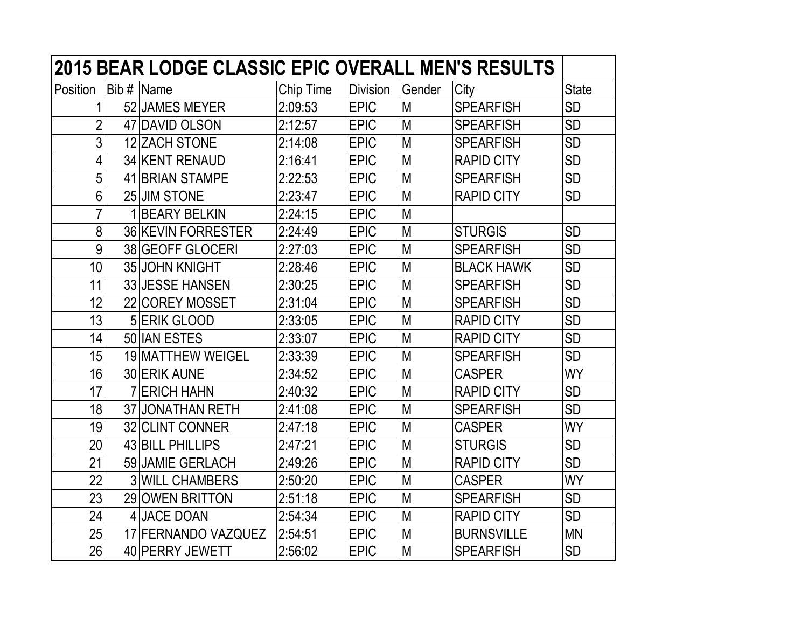|                | <b>2015 BEAR LODGE CLASSIC EPIC OVERALL MEN'S RESULTS</b> |           |                 |        |                   |              |
|----------------|-----------------------------------------------------------|-----------|-----------------|--------|-------------------|--------------|
| Position       | Bib $#$ Name                                              | Chip Time | <b>Division</b> | Gender | City              | <b>State</b> |
| 1              | 52 JAMES MEYER                                            | 2:09:53   | <b>EPIC</b>     | M      | <b>SPEARFISH</b>  | <b>SD</b>    |
| $\overline{2}$ | 47 DAVID OLSON                                            | 2:12:57   | <b>EPIC</b>     | M      | <b>SPEARFISH</b>  | <b>SD</b>    |
| 3              | 12 ZACH STONE                                             | 2:14:08   | <b>EPIC</b>     | M      | <b>SPEARFISH</b>  | <b>SD</b>    |
| 4              | 34 KENT RENAUD                                            | 2:16:41   | <b>EPIC</b>     | M      | <b>RAPID CITY</b> | <b>SD</b>    |
| 5              | 41 BRIAN STAMPE                                           | 2:22:53   | <b>EPIC</b>     | M      | <b>SPEARFISH</b>  | <b>SD</b>    |
| $6\phantom{a}$ | 25 JIM STONE                                              | 2:23:47   | <b>EPIC</b>     | M      | <b>RAPID CITY</b> | <b>SD</b>    |
| $\overline{7}$ | 1 BEARY BELKIN                                            | 2:24:15   | <b>EPIC</b>     | M      |                   |              |
| 8              | <b>36 KEVIN FORRESTER</b>                                 | 2:24:49   | <b>EPIC</b>     | M      | <b>STURGIS</b>    | <b>SD</b>    |
| 9              | 38 GEOFF GLOCERI                                          | 2:27:03   | <b>EPIC</b>     | M      | <b>SPEARFISH</b>  | <b>SD</b>    |
| 10             | 35 JOHN KNIGHT                                            | 2:28:46   | <b>EPIC</b>     | M      | <b>BLACK HAWK</b> | <b>SD</b>    |
| 11             | 33 JESSE HANSEN                                           | 2:30:25   | <b>EPIC</b>     | M      | <b>SPEARFISH</b>  | <b>SD</b>    |
| 12             | 22 COREY MOSSET                                           | 2:31:04   | <b>EPIC</b>     | M      | <b>SPEARFISH</b>  | <b>SD</b>    |
| 13             | 5 ERIK GLOOD                                              | 2:33:05   | <b>EPIC</b>     | M      | <b>RAPID CITY</b> | <b>SD</b>    |
| 14             | 50 IAN ESTES                                              | 2:33:07   | <b>EPIC</b>     | M      | <b>RAPID CITY</b> | <b>SD</b>    |
| 15             | 19 MATTHEW WEIGEL                                         | 2:33:39   | <b>EPIC</b>     | M      | <b>SPEARFISH</b>  | <b>SD</b>    |
| 16             | 30 ERIK AUNE                                              | 2:34:52   | <b>EPIC</b>     | M      | <b>CASPER</b>     | <b>WY</b>    |
| 17             | <b>7 ERICH HAHN</b>                                       | 2:40:32   | <b>EPIC</b>     | M      | <b>RAPID CITY</b> | <b>SD</b>    |
| 18             | 37 JONATHAN RETH                                          | 2:41:08   | <b>EPIC</b>     | M      | <b>SPEARFISH</b>  | <b>SD</b>    |
| 19             | 32 CLINT CONNER                                           | 2:47:18   | <b>EPIC</b>     | M      | <b>CASPER</b>     | <b>WY</b>    |
| 20             | 43 BILL PHILLIPS                                          | 2:47:21   | <b>EPIC</b>     | M      | <b>STURGIS</b>    | <b>SD</b>    |
| 21             | 59 JAMIE GERLACH                                          | 2:49:26   | <b>EPIC</b>     | M      | <b>RAPID CITY</b> | <b>SD</b>    |
| 22             | <b>3 WILL CHAMBERS</b>                                    | 2:50:20   | <b>EPIC</b>     | M      | <b>CASPER</b>     | <b>WY</b>    |
| 23             | 29 OWEN BRITTON                                           | 2:51:18   | <b>EPIC</b>     | M      | <b>SPEARFISH</b>  | <b>SD</b>    |
| 24             | 4 JACE DOAN                                               | 2:54:34   | <b>EPIC</b>     | M      | <b>RAPID CITY</b> | <b>SD</b>    |
| 25             | 17 FERNANDO VAZQUEZ                                       | 2:54:51   | <b>EPIC</b>     | M      | <b>BURNSVILLE</b> | <b>MN</b>    |
| 26             | 40 PERRY JEWETT                                           | 2:56:02   | <b>EPIC</b>     | М      | <b>SPEARFISH</b>  | <b>SD</b>    |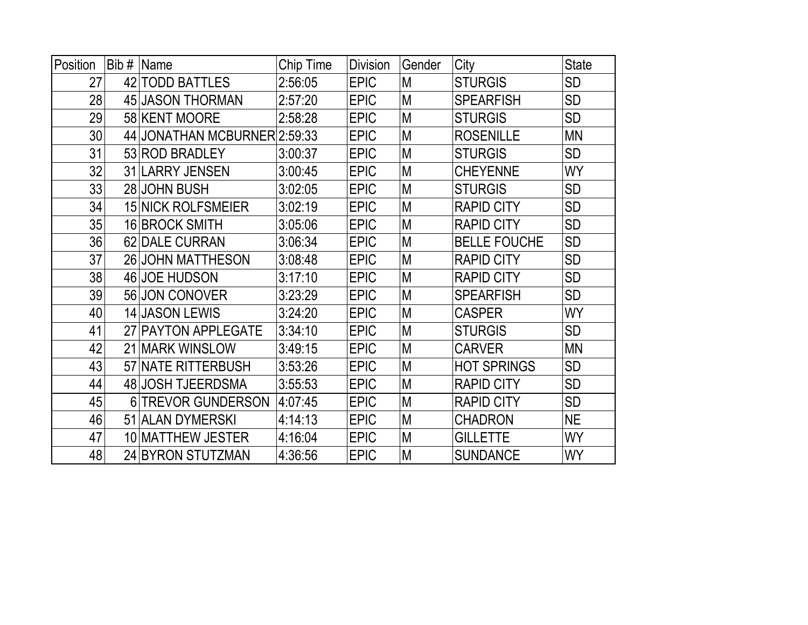| Position | Bib# | <b>Name</b>                  | Chip Time | <b>Division</b> | Gender | City                | <b>State</b> |
|----------|------|------------------------------|-----------|-----------------|--------|---------------------|--------------|
| 27       |      | 42 TODD BATTLES              | 2:56:05   | <b>EPIC</b>     | M      | <b>STURGIS</b>      | <b>SD</b>    |
| 28       |      | 45 JASON THORMAN             | 2:57:20   | <b>EPIC</b>     | M      | <b>SPEARFISH</b>    | <b>SD</b>    |
| 29       |      | 58 KENT MOORE                | 2:58:28   | <b>EPIC</b>     | M      | <b>STURGIS</b>      | SD           |
| 30       |      | 44 JONATHAN MCBURNER 2:59:33 |           | <b>EPIC</b>     | M      | <b>ROSENILLE</b>    | <b>MN</b>    |
| 31       |      | 53 ROD BRADLEY               | 3:00:37   | <b>EPIC</b>     | M      | <b>STURGIS</b>      | <b>SD</b>    |
| 32       |      | 31 LARRY JENSEN              | 3:00:45   | <b>EPIC</b>     | M      | <b>CHEYENNE</b>     | WY           |
| 33       |      | 28 JOHN BUSH                 | 3:02:05   | <b>EPIC</b>     | M      | <b>STURGIS</b>      | <b>SD</b>    |
| 34       |      | <b>15 NICK ROLFSMEIER</b>    | 3:02:19   | <b>EPIC</b>     | M      | <b>RAPID CITY</b>   | <b>SD</b>    |
| 35       |      | 16 BROCK SMITH               | 3:05:06   | <b>EPIC</b>     | M      | <b>RAPID CITY</b>   | <b>SD</b>    |
| 36       |      | 62 DALE CURRAN               | 3:06:34   | <b>EPIC</b>     | M      | <b>BELLE FOUCHE</b> | <b>SD</b>    |
| 37       |      | 26 JOHN MATTHESON            | 3:08:48   | <b>EPIC</b>     | M      | <b>RAPID CITY</b>   | <b>SD</b>    |
| 38       |      | 46 JOE HUDSON                | 3:17:10   | <b>EPIC</b>     | M      | <b>RAPID CITY</b>   | <b>SD</b>    |
| 39       |      | 56 JON CONOVER               | 3:23:29   | <b>EPIC</b>     | M      | <b>SPEARFISH</b>    | <b>SD</b>    |
| 40       |      | 14 JASON LEWIS               | 3:24:20   | <b>EPIC</b>     | M      | <b>CASPER</b>       | WY           |
| 41       |      | 27 PAYTON APPLEGATE          | 3:34:10   | <b>EPIC</b>     | M      | <b>STURGIS</b>      | <b>SD</b>    |
| 42       |      | 21 MARK WINSLOW              | 3:49:15   | <b>EPIC</b>     | M      | <b>CARVER</b>       | <b>MN</b>    |
| 43       |      | 57 NATE RITTERBUSH           | 3:53:26   | <b>EPIC</b>     | M      | <b>HOT SPRINGS</b>  | <b>SD</b>    |
| 44       |      | 48 JOSH TJEERDSMA            | 3:55:53   | <b>EPIC</b>     | M      | <b>RAPID CITY</b>   | <b>SD</b>    |
| 45       |      | 6 TREVOR GUNDERSON           | 4:07:45   | <b>EPIC</b>     | M      | <b>RAPID CITY</b>   | <b>SD</b>    |
| 46       |      | 51 ALAN DYMERSKI             | 4:14:13   | <b>EPIC</b>     | M      | <b>CHADRON</b>      | <b>NE</b>    |
| 47       |      | 10 MATTHEW JESTER            | 4:16:04   | <b>EPIC</b>     | M      | <b>GILLETTE</b>     | WY           |
| 48       |      | 24 BYRON STUTZMAN            | 4:36:56   | <b>EPIC</b>     | M      | <b>SUNDANCE</b>     | <b>WY</b>    |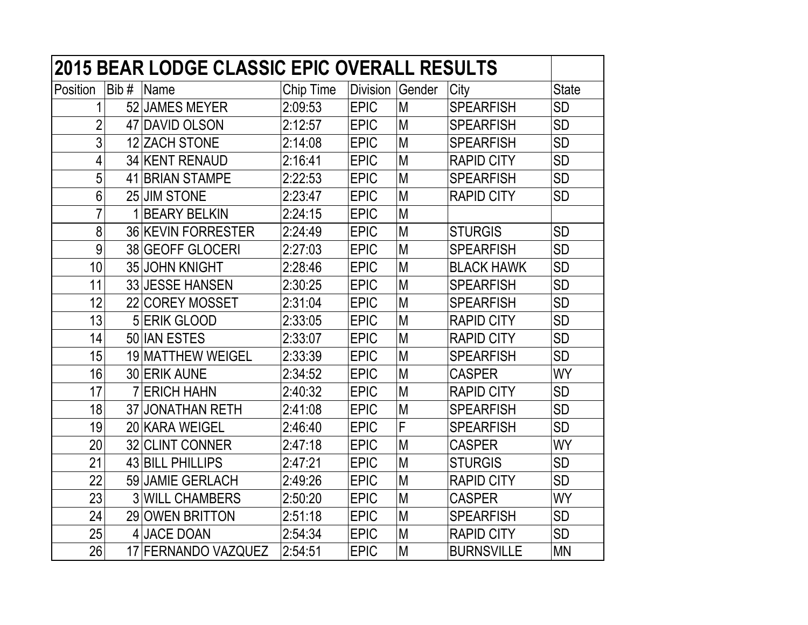|                |         | <b>2015 BEAR LODGE CLASSIC EPIC OVERALL RESULTS</b> |           |                 |        |                   |              |
|----------------|---------|-----------------------------------------------------|-----------|-----------------|--------|-------------------|--------------|
| Position       | Bib $#$ | Name                                                | Chip Time | <b>Division</b> | Gender | City              | <b>State</b> |
| 1              |         | 52 JAMES MEYER                                      | 2:09:53   | <b>EPIC</b>     | M      | <b>SPEARFISH</b>  | <b>SD</b>    |
| $\overline{2}$ |         | 47 DAVID OLSON                                      | 2:12:57   | <b>EPIC</b>     | M      | <b>SPEARFISH</b>  | <b>SD</b>    |
| 3              |         | 12 ZACH STONE                                       | 2:14:08   | <b>EPIC</b>     | M      | <b>SPEARFISH</b>  | <b>SD</b>    |
| 4              |         | <b>34 KENT RENAUD</b>                               | 2:16:41   | <b>EPIC</b>     | M      | <b>RAPID CITY</b> | <b>SD</b>    |
| 5              |         | 41 BRIAN STAMPE                                     | 2:22:53   | <b>EPIC</b>     | M      | <b>SPEARFISH</b>  | <b>SD</b>    |
| 6              |         | 25 JIM STONE                                        | 2:23:47   | <b>EPIC</b>     | M      | <b>RAPID CITY</b> | <b>SD</b>    |
| $\overline{7}$ |         | 1 BEARY BELKIN                                      | 2:24:15   | <b>EPIC</b>     | M      |                   |              |
| 8              |         | 36 KEVIN FORRESTER                                  | 2:24:49   | <b>EPIC</b>     | M      | <b>STURGIS</b>    | <b>SD</b>    |
| 9              |         | 38 GEOFF GLOCERI                                    | 2:27:03   | <b>EPIC</b>     | M      | <b>SPEARFISH</b>  | <b>SD</b>    |
| 10             |         | 35 JOHN KNIGHT                                      | 2:28:46   | <b>EPIC</b>     | M      | <b>BLACK HAWK</b> | <b>SD</b>    |
| 11             |         | 33 JESSE HANSEN                                     | 2:30:25   | <b>EPIC</b>     | M      | <b>SPEARFISH</b>  | <b>SD</b>    |
| 12             |         | 22 COREY MOSSET                                     | 2:31:04   | <b>EPIC</b>     | M      | <b>SPEARFISH</b>  | SD           |
| 13             |         | 5 ERIK GLOOD                                        | 2:33:05   | <b>EPIC</b>     | M      | <b>RAPID CITY</b> | <b>SD</b>    |
| 14             |         | 50 IAN ESTES                                        | 2:33:07   | <b>EPIC</b>     | M      | <b>RAPID CITY</b> | <b>SD</b>    |
| 15             |         | 19 MATTHEW WEIGEL                                   | 2:33:39   | <b>EPIC</b>     | M      | <b>SPEARFISH</b>  | SD           |
| 16             |         | 30 ERIK AUNE                                        | 2:34:52   | <b>EPIC</b>     | M      | <b>CASPER</b>     | WY           |
| 17             |         | <b>7 ERICH HAHN</b>                                 | 2:40:32   | <b>EPIC</b>     | M      | <b>RAPID CITY</b> | <b>SD</b>    |
| 18             |         | 37 JONATHAN RETH                                    | 2:41:08   | <b>EPIC</b>     | M      | <b>SPEARFISH</b>  | <b>SD</b>    |
| 19             |         | 20 KARA WEIGEL                                      | 2:46:40   | <b>EPIC</b>     | F      | <b>SPEARFISH</b>  | <b>SD</b>    |
| 20             |         | 32 CLINT CONNER                                     | 2:47:18   | <b>EPIC</b>     | M      | <b>CASPER</b>     | WY           |
| 21             |         | 43 BILL PHILLIPS                                    | 2:47:21   | <b>EPIC</b>     | M      | <b>STURGIS</b>    | <b>SD</b>    |
| 22             |         | 59 JAMIE GERLACH                                    | 2:49:26   | <b>EPIC</b>     | M      | <b>RAPID CITY</b> | <b>SD</b>    |
| 23             |         | <b>3 WILL CHAMBERS</b>                              | 2:50:20   | <b>EPIC</b>     | M      | <b>CASPER</b>     | <b>WY</b>    |
| 24             |         | 29 OWEN BRITTON                                     | 2:51:18   | <b>EPIC</b>     | M      | <b>SPEARFISH</b>  | <b>SD</b>    |
| 25             |         | 4 JACE DOAN                                         | 2:54:34   | <b>EPIC</b>     | M      | <b>RAPID CITY</b> | <b>SD</b>    |
| 26             |         | 17 FERNANDO VAZQUEZ                                 | 2:54:51   | <b>EPIC</b>     | M      | <b>BURNSVILLE</b> | <b>MN</b>    |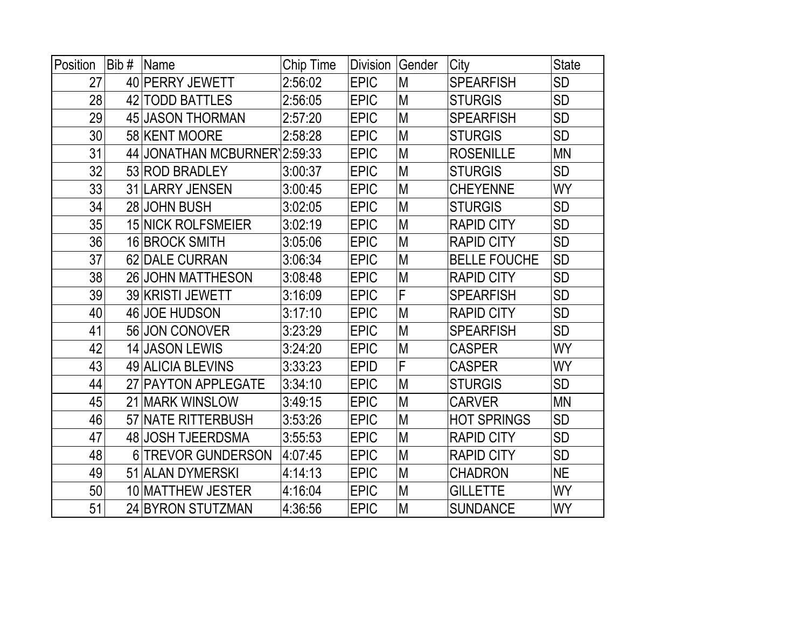| Position | Bib# | Name                         | Chip Time | <b>Division</b> | Gender | City                | <b>State</b> |
|----------|------|------------------------------|-----------|-----------------|--------|---------------------|--------------|
| 27       |      | 40 PERRY JEWETT              | 2:56:02   | <b>EPIC</b>     | M      | <b>SPEARFISH</b>    | <b>SD</b>    |
| 28       |      | 42 TODD BATTLES              | 2:56:05   | <b>EPIC</b>     | M      | <b>STURGIS</b>      | <b>SD</b>    |
| 29       |      | 45 JASON THORMAN             | 2:57:20   | <b>EPIC</b>     | M      | <b>SPEARFISH</b>    | <b>SD</b>    |
| 30       |      | 58 KENT MOORE                | 2:58:28   | <b>EPIC</b>     | M      | <b>STURGIS</b>      | <b>SD</b>    |
| 31       |      | 44 JONATHAN MCBURNER 2:59:33 |           | <b>EPIC</b>     | M      | <b>ROSENILLE</b>    | <b>MN</b>    |
| 32       |      | 53 ROD BRADLEY               | 3:00:37   | <b>EPIC</b>     | M      | <b>STURGIS</b>      | <b>SD</b>    |
| 33       |      | 31 LARRY JENSEN              | 3:00:45   | <b>EPIC</b>     | M      | <b>CHEYENNE</b>     | <b>WY</b>    |
| 34       |      | 28 JOHN BUSH                 | 3:02:05   | <b>EPIC</b>     | M      | <b>STURGIS</b>      | <b>SD</b>    |
| 35       |      | <b>15 NICK ROLFSMEIER</b>    | 3:02:19   | <b>EPIC</b>     | M      | <b>RAPID CITY</b>   | <b>SD</b>    |
| 36       |      | 16 BROCK SMITH               | 3:05:06   | <b>EPIC</b>     | M      | <b>RAPID CITY</b>   | <b>SD</b>    |
| 37       |      | 62 DALE CURRAN               | 3:06:34   | <b>EPIC</b>     | M      | <b>BELLE FOUCHE</b> | <b>SD</b>    |
| 38       |      | 26 JOHN MATTHESON            | 3:08:48   | <b>EPIC</b>     | M      | <b>RAPID CITY</b>   | <b>SD</b>    |
| 39       |      | 39 KRISTI JEWETT             | 3:16:09   | <b>EPIC</b>     | F      | <b>SPEARFISH</b>    | <b>SD</b>    |
| 40       |      | 46 JOE HUDSON                | 3:17:10   | <b>EPIC</b>     | M      | <b>RAPID CITY</b>   | <b>SD</b>    |
| 41       |      | 56 JON CONOVER               | 3:23:29   | <b>EPIC</b>     | M      | <b>SPEARFISH</b>    | <b>SD</b>    |
| 42       |      | 14 JASON LEWIS               | 3:24:20   | <b>EPIC</b>     | M      | <b>CASPER</b>       | <b>WY</b>    |
| 43       |      | 49 ALICIA BLEVINS            | 3:33:23   | <b>EPID</b>     | F      | <b>CASPER</b>       | <b>WY</b>    |
| 44       |      | 27 PAYTON APPLEGATE          | 3:34:10   | <b>EPIC</b>     | M      | <b>STURGIS</b>      | <b>SD</b>    |
| 45       |      | 21 MARK WINSLOW              | 3:49:15   | <b>EPIC</b>     | M      | <b>CARVER</b>       | <b>MN</b>    |
| 46       |      | <b>57 NATE RITTERBUSH</b>    | 3:53:26   | <b>EPIC</b>     | M      | <b>HOT SPRINGS</b>  | <b>SD</b>    |
| 47       |      | 48 JOSH TJEERDSMA            | 3:55:53   | <b>EPIC</b>     | M      | <b>RAPID CITY</b>   | <b>SD</b>    |
| 48       |      | 6 TREVOR GUNDERSON           | 4:07:45   | <b>EPIC</b>     | M      | <b>RAPID CITY</b>   | <b>SD</b>    |
| 49       |      | 51 ALAN DYMERSKI             | 4:14:13   | <b>EPIC</b>     | M      | <b>CHADRON</b>      | <b>NE</b>    |
| 50       |      | 10 MATTHEW JESTER            | 4:16:04   | <b>EPIC</b>     | M      | <b>GILLETTE</b>     | <b>WY</b>    |
| 51       |      | 24 BYRON STUTZMAN            | 4:36:56   | <b>EPIC</b>     | M      | <b>SUNDANCE</b>     | <b>WY</b>    |